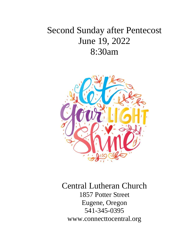# Second Sunday after Pentecost June 19, 2022 8:30am



Central Lutheran Church 1857 Potter Street Eugene, Oregon 541-345-0395 [www.connecttocentral.org](http://www.welcometocentral.org/)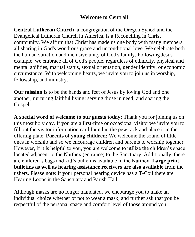### **Welcome to Central!**

**Central Lutheran Church,** a congregation of the Oregon Synod and the Evangelical Lutheran Church in America, is a Reconciling in Christ community. We affirm that Christ has made us one body with many members, all sharing in God's wondrous grace and unconditional love. We celebrate both the human variation and inclusive unity of God's family. Following Jesus' example, we embrace all of God's people, regardless of ethnicity, physical and mental abilities, marital status, sexual orientation, gender identity, or economic circumstance. With welcoming hearts, we invite you to join us in worship, fellowship, and ministry.

**Our mission** is to be the hands and feet of Jesus by loving God and one another; nurturing faithful living; serving those in need; and sharing the Gospel.

**A special word of welcome to our guests today:** Thank you for joining us on this most holy day. If you are a first-time or occasional visitor we invite you to fill out the visitor information card found in the pew rack and place it in the offering plate. **Parents of young children:** We welcome the sound of little ones in worship and so we encourage children and parents to worship together. However, if it is helpful to you, you are welcome to utilize the children's space located adjacent to the Narthex (entrance) to the Sanctuary. Additionally, there are children's bags and kid's bulletins available in the Narthex. **Large print bulletins as well as hearing assistance receivers are also available** from the ushers. Please note: if your personal hearing device has a T-Coil there are Hearing Loops in the Sanctuary and Parish Hall.

Although masks are no longer mandated, we encourage you to make an individual choice whether or not to wear a mask, and further ask that you be respectful of the personal space and comfort level of those around you.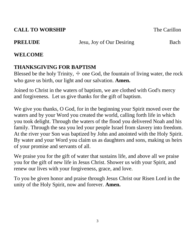# **CALL TO WORSHIP** The Carillon

**PRELUDE** Jesu, Joy of Our Desiring Bach

# **WELCOME**

# **THANKSGIVING FOR BAPTISM**

Blessed be the holy Trinity,  $\pm$  one God, the fountain of living water, the rock who gave us birth, our light and our salvation. **Amen.**

Joined to Christ in the waters of baptism, we are clothed with God's mercy and forgiveness. Let us give thanks for the gift of baptism.

We give you thanks, O God, for in the beginning your Spirit moved over the waters and by your Word you created the world, calling forth life in which you took delight. Through the waters of the flood you delivered Noah and his family. Through the sea you led your people Israel from slavery into freedom. At the river your Son was baptized by John and anointed with the Holy Spirit. By water and your Word you claim us as daughters and sons, making us heirs of your promise and servants of all.

We praise you for the gift of water that sustains life, and above all we praise you for the gift of new life in Jesus Christ. Shower us with your Spirit, and renew our lives with your forgiveness, grace, and love.

To you be given honor and praise through Jesus Christ our Risen Lord in the unity of the Holy Spirit, now and forever. **Amen.**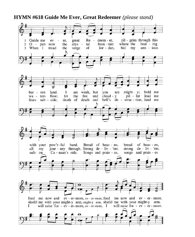#### **HYMN #618 Guide Me Ever, Great Redeemer** *(please stand)*

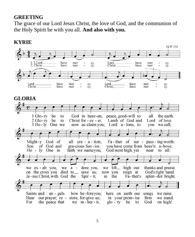#### **GREETING**

The grace of our Lord Jesus Christ, the love of God, and the communion of the Holy Spirit be with you all. **And also with you.**



### **KYRIE**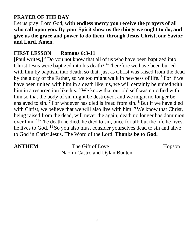### **PRAYER OF THE DAY**

Let us pray. Lord God, **with endless mercy you receive the prayers of all who call upon you. By your Spirit show us the things we ought to do, and give us the grace and power to do them, through Jesus Christ, our Savior and Lord. Amen.**

#### **FIRST LESSON Romans 6:3-11**

[Paul writes,] **<sup>3</sup>** Do you not know that all of us who have been baptized into Christ Jesus were baptized into his death? **<sup>4</sup>** Therefore we have been buried with him by baptism into death, so that, just as Christ was raised from the dead by the glory of the Father, so we too might walk in newness of life. **<sup>5</sup>** For if we have been united with him in a death like his, we will certainly be united with him in a resurrection like his. **<sup>6</sup>** We know that our old self was crucified with him so that the body of sin might be destroyed, and we might no longer be enslaved to sin. **<sup>7</sup>** For whoever has died is freed from sin. **<sup>8</sup>**But if we have died with Christ, we believe that we will also live with him. **<sup>9</sup>** We know that Christ, being raised from the dead, will never die again; death no longer has dominion over him. **<sup>10</sup>** The death he died, he died to sin, once for all; but the life he lives, he lives to God. **<sup>11</sup>** So you also must consider yourselves dead to sin and alive to God in Christ Jesus. The Word of the Lord. **Thanks be to God.**

**ANTHEM** The Gift of Love Hopson Naomi Castro and Dylan Bunten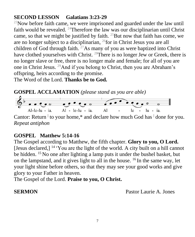# **SECOND LESSON Galatians 3:23-29**

 $^{23}$ Now before faith came, we were imprisoned and guarded under the law until faith would be revealed. <sup>24</sup>Therefore the law was our disciplinarian until Christ came, so that we might be justified by faith. <sup>25</sup>But now that faith has come, we are no longer subject to a disciplinarian, <sup>26</sup>for in Christ Jesus you are all children of God through faith.  $27$ As many of you as were baptized into Christ have clothed yourselves with Christ. <sup>28</sup>There is no longer Jew or Greek, there is no longer slave or free, there is no longer male and female; for all of you are one in Christ Jesus. <sup>29</sup>And if you belong to Christ, then you are Abraham's offspring, heirs according to the promise.

The Word of the Lord. **Thanks be to God.**



Cantor: Return  $\frac{1}{1}$  to your home,\* and declare how much God has  $\frac{1}{1}$  done for you. *Repeat antiphon*

# **GOSPEL Matthew 5:14-16**

The Gospel according to Matthew, the fifth chapter. **Glory to you, O Lord.** [Jesus declared,] <sup>14</sup> 'You are the light of the world. A city built on a hill cannot be hidden. <sup>15</sup> No one after lighting a lamp puts it under the bushel basket, but on the lampstand, and it gives light to all in the house.  $^{16}$  In the same way, let your light shine before others, so that they may see your good works and give glory to your Father in heaven.

The Gospel of the Lord. **Praise to you, O Christ.**

**SERMON** Pastor Laurie A. Jones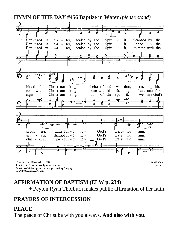#### **HYMN OF THE DAY #456 Baptize in Water** *(please stand)*



# **AFFIRMATION OF BAPTISM (ELW p. 234)**

☩Peyton Ryan Thorburn makes public affirmation of her faith.

#### **PRAYERS OF INTERCESSION**

#### **PEACE**

Arr. C 2006 Augsburg Fortress

The peace of Christ be with you always. **And also with you.**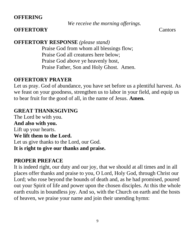#### **OFFERING**

*We receive the morning offerings.*

#### **OFFERTORY** Cantors

# **OFFERTORY RESPONSE** *(please stand)*

Praise God from whom all blessings flow; Praise God all creatures here below; Praise God above ye heavenly host, Praise Father, Son and Holy Ghost. Amen.

# **OFFERTORY PRAYER**

Let us pray. God of abundance, you have set before us a plentiful harvest. As we feast on your goodness, strengthen us to labor in your field, and equip us to bear fruit for the good of all, in the name of Jesus. **Amen.**

# **GREAT THANKSGIVING**

The Lord be with you. **And also with you.**  Lift up your hearts. **We lift them to the Lord.**  Let us give thanks to the Lord, our God. **It is right to give our thanks and praise.** 

# **PROPER PREFACE**

It is indeed right, our duty and our joy, that we should at all times and in all places offer thanks and praise to you, O Lord, Holy God, through Christ our Lord; who rose beyond the bounds of death and, as he had promised, poured out your Spirit of life and power upon the chosen disciples. At this the whole earth exults in boundless joy. And so, with the Church on earth and the hosts of heaven, we praise your name and join their unending hymn: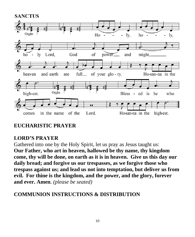

# **EUCHARISTIC PRAYER**

# **LORD'S PRAYER**

Gathered into one by the Holy Spirit, let us pray as Jesus taught us: **Our Father, who art in heaven, hallowed be thy name, thy kingdom come, thy will be done, on earth as it is in heaven. Give us this day our daily bread; and forgive us our trespasses, as we forgive those who trespass against us; and lead us not into temptation, but deliver us from evil. For thine is the kingdom, and the power, and the glory, forever and ever. Amen**. *(please be seated)*

# **COMMUNION INSTRUCTIONS & DISTRIBUTION**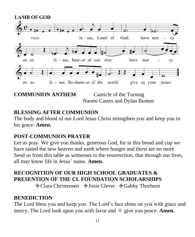

**COMMUNION ANTHEM** Canticle of the Turning Naomi Castro and Dylan Bunten

# **BLESSING AFTER COMMUNION**

The body and blood of our Lord Jesus Christ strengthen you and keep you in his grace. **Amen.**

# **POST-COMMUNION PRAYER**

Let us pray. We give you thanks, generous God, for in this bread and cup we have tasted the new heaven and earth where hunger and thirst are no more. Send us from this table as witnesses to the resurrection, that through our lives, all may know life in Jesus' name. **Amen.**

# **RECOGNITION OF OUR HIGH SCHOOL GRADUATES & PRESENTION OF THE CL FOUNDATION SCHOLARSHIPS**

☩Clara Christensen ☩Josie Clever ☩Gabby Thorburn

# **BENEDICTION**

The Lord bless you and keep you. The Lord's face shine on you with grace and mercy. The Lord look upon you with favor and  $\pm$  give you peace. **Amen.**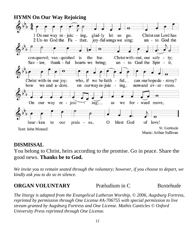

# **DISMISSAL**

You belong to Christ, heirs according to the promise. Go in peace. Share the good news. **Thanks be to God.** 

*We invite you to remain seated through the voluntary; however, if you choose to depart, we kindly ask you to do so in silence.* 

#### **ORGAN VOLUNTARY** Præludium in C Buxtehude

*The liturgy is adapted from the Evangelical Lutheran Worship, © 2006, Augsburg Fortress, reprinted by permission through One License #A-706755 with special permission to live stream granted by Augsburg Fortress and One License. Mathis Canticles © Oxford University Press reprinted through One License.*